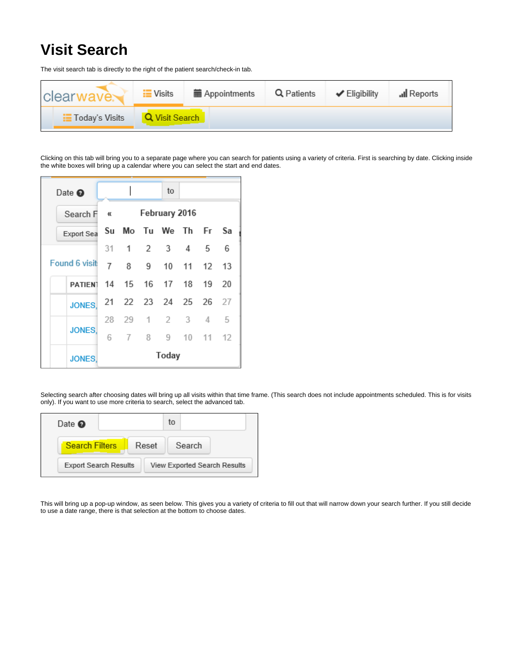## **Visit Search**

The visit search tab is directly to the right of the patient search/check-in tab.

| clear <sub>w</sub><br><i>NAVES</i> | $\equiv$ Visits | <b>■ Appointments</b> | Q Patients | $\blacktriangleright$ Eligibility | all Reports |
|------------------------------------|-----------------|-----------------------|------------|-----------------------------------|-------------|
| <b>Today's Visits</b>              | Q Visit Search  |                       |            |                                   |             |

Clicking on this tab will bring you to a separate page where you can search for patients using a variety of criteria. First is searching by date. Clicking inside the white boxes will bring up a calendar where you can select the start and end dates.

| Date $\bullet$               |    |   |    | to                     |       |    |
|------------------------------|----|---|----|------------------------|-------|----|
| Search F                     | €€ |   |    | February 2016          |       |    |
| Export Sea                   |    |   |    | Su Mo Tu We Th Fr Sa   |       |    |
|                              |    |   |    | 31 1 2 3 4 5           |       | 6  |
| Found 6 visit                | 7  |   | 9. | 10                     | 11 12 | 13 |
| PATIENT 14 15 16 17 18 19 20 |    |   |    |                        |       |    |
| <b>JONES.</b>                |    |   |    | 21  22  23  24  25  26 |       | 27 |
|                              |    |   |    | 28 29 1 2 3            | 4     | 5  |
| <b>JONES</b>                 | 6  | 7 | 8. | 9                      | 10 11 | 12 |
| <b>JONES,</b>                |    |   |    | Today                  |       |    |

Selecting search after choosing dates will bring up all visits within that time frame. (This search does not include appointments scheduled. This is for visits only). If you want to use more criteria to search, select the advanced tab.

| Date $\bullet$               |  |                                     | to |        |  |
|------------------------------|--|-------------------------------------|----|--------|--|
| <b>Search Filters</b>        |  | Reset                               |    | Search |  |
| <b>Export Search Results</b> |  | <b>View Exported Search Results</b> |    |        |  |

This will bring up a pop-up window, as seen below. This gives you a variety of criteria to fill out that will narrow down your search further. If you still decide to use a date range, there is that selection at the bottom to choose dates.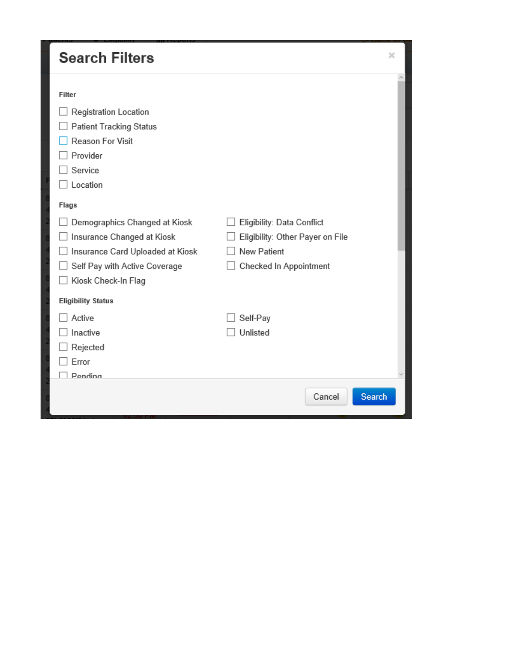| <b>Search Filters</b>                                                                                                                                                                                                                                                                        |                                                                                                                | × |
|----------------------------------------------------------------------------------------------------------------------------------------------------------------------------------------------------------------------------------------------------------------------------------------------|----------------------------------------------------------------------------------------------------------------|---|
| Filter<br>Registration Location<br><b>Patient Tracking Status</b><br>Reason For Visit<br>Provider<br>Service<br>Location<br>Flags<br>Demographics Changed at Kiosk<br>Insurance Changed at Kiosk<br>Insurance Card Uploaded at Kiosk<br>Self Pay with Active Coverage<br>Kiosk Check-In Flag | Eligibility: Data Conflict<br>Eligibility: Other Payer on File<br><b>New Patient</b><br>Checked In Appointment |   |
| <b>Eligibility Status</b><br>Active<br>Inactive<br>Rejected<br>Error<br>Pendina                                                                                                                                                                                                              | Self-Pay<br>Unlisted<br>Cancel<br>Search                                                                       |   |